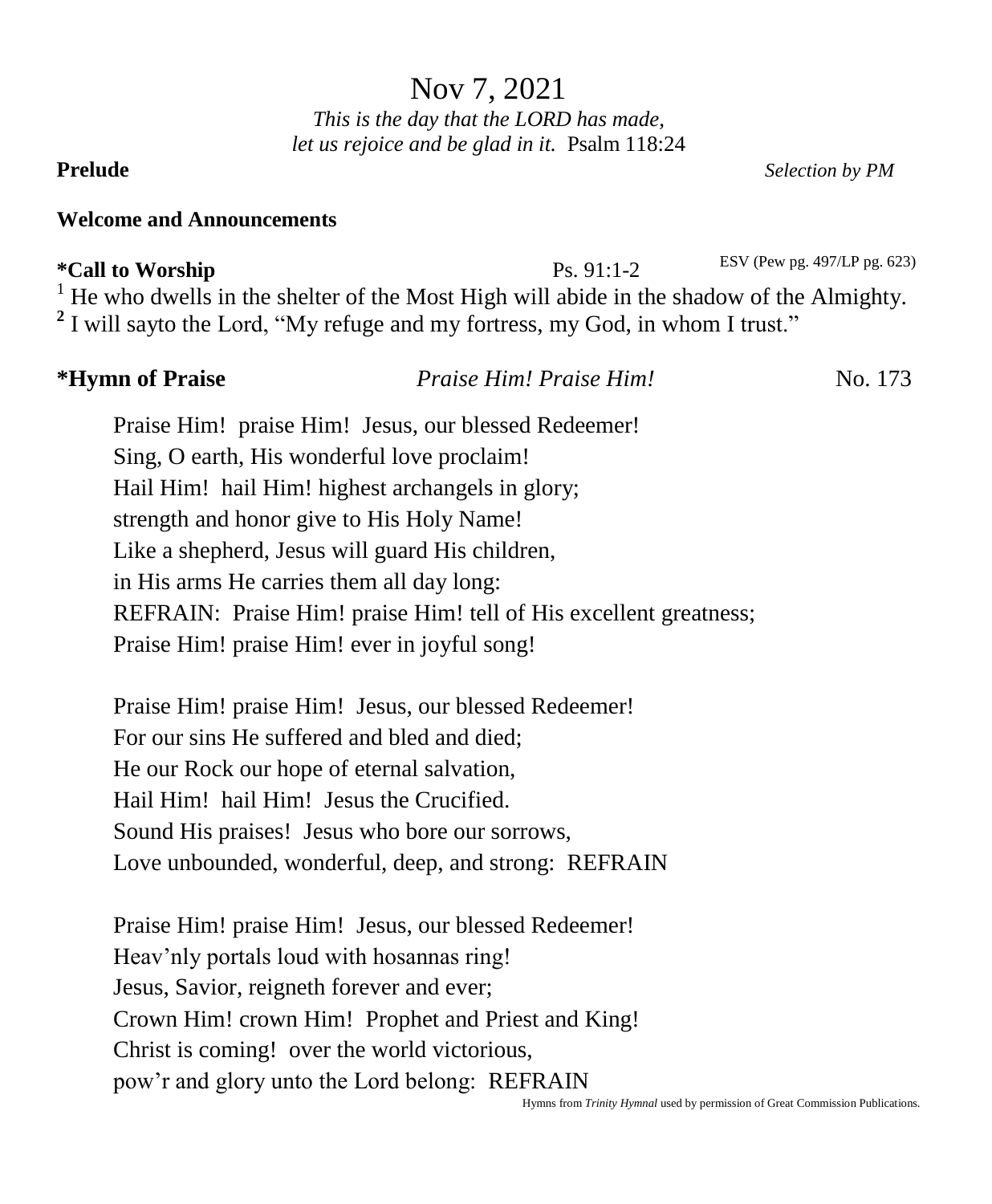# Nov 7, 2021

*This is the day that the LORD has made, let us rejoice and be glad in it.* Psalm 118:24

### **Welcome and Announcements**

# **\*Call to Worship** Ps. 91:1-2

 $<sup>1</sup>$  He who dwells in the shelter of the Most High will abide in the shadow of the Almighty.</sup> <sup>2</sup> I will sayto the Lord, "My refuge and my fortress, my God, in whom I trust."

| <i><b>*Hymn of Praise</b></i>               | Praise Him! Praise Him!                              | No. 173 |
|---------------------------------------------|------------------------------------------------------|---------|
|                                             | Praise Him! praise Him! Jesus, our blessed Redeemer! |         |
| Sing, O earth, His wonderful love proclaim! |                                                      |         |
|                                             | Hail Him! hail Him! highest archangels in glory;     |         |
| strength and honor give to His Holy Name!   |                                                      |         |
|                                             | Like a shepherd, Jesus will guard His children,      |         |
| in His arms He carries them all day long:   |                                                      |         |

REFRAIN: Praise Him! praise Him! tell of His excellent greatness;

Praise Him! praise Him! ever in joyful song!

Praise Him! praise Him! Jesus, our blessed Redeemer! For our sins He suffered and bled and died; He our Rock our hope of eternal salvation, Hail Him! hail Him! Jesus the Crucified. Sound His praises! Jesus who bore our sorrows, Love unbounded, wonderful, deep, and strong: REFRAIN

Praise Him! praise Him! Jesus, our blessed Redeemer! Heav'nly portals loud with hosannas ring! Jesus, Savior, reigneth forever and ever; Crown Him! crown Him! Prophet and Priest and King! Christ is coming! over the world victorious, pow'r and glory unto the Lord belong: REFRAIN

**Prelude** *Selection by PM*

ESV (Pew pg. 497/LP pg. 623)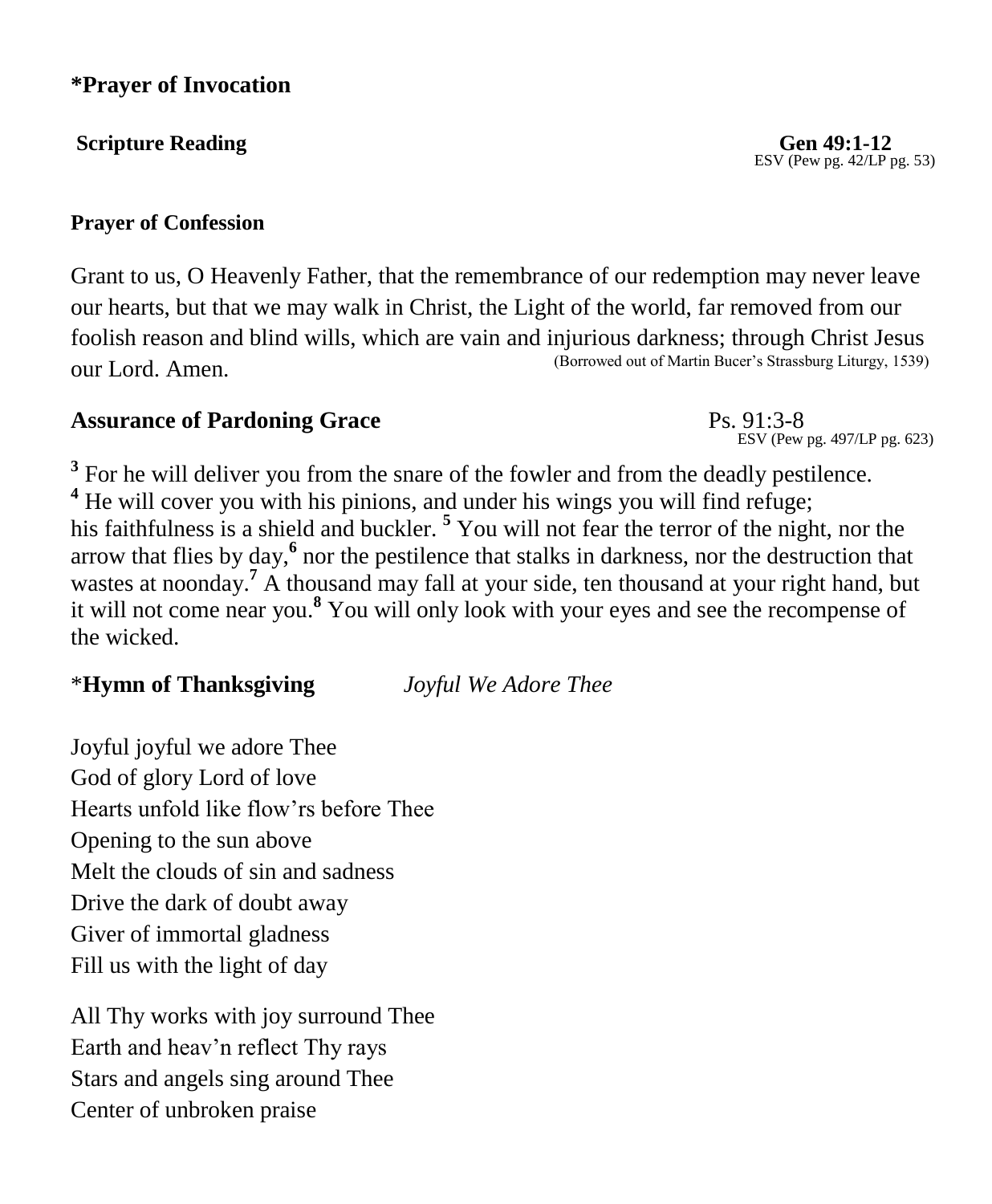### **\*Prayer of Invocation**

### **Scripture Reading Gen 49:1-12**

### **Prayer of Confession**

Grant to us, O Heavenly Father, that the remembrance of our redemption may never leave our hearts, but that we may walk in Christ, the Light of the world, far removed from our foolish reason and blind wills, which are vain and injurious darkness; through Christ Jesus our Lord. Amen. (Borrowed out of Martin Bucer's Strassburg Liturgy, 1539)

### Assurance of Pardoning Grace **Ps. 91:3-8**

<sup>3</sup> For he will deliver you from the snare of the fowler and from the deadly pestilence. <sup>4</sup> He will cover you with his pinions, and under his wings you will find refuge; his faithfulness is a shield and buckler.<sup>5</sup> You will not fear the terror of the night, nor the arrow that flies by day,**<sup>6</sup>** nor the pestilence that stalks in darkness, nor the destruction that wastes at noonday.<sup>7</sup> A thousand may fall at your side, ten thousand at your right hand, but it will not come near you.**<sup>8</sup>** You will only look with your eyes and see the recompense of the wicked.

\***Hymn of Thanksgiving** *Joyful We Adore Thee*

Joyful joyful we adore Thee God of glory Lord of love Hearts unfold like flow'rs before Thee Opening to the sun above Melt the clouds of sin and sadness Drive the dark of doubt away Giver of immortal gladness Fill us with the light of day

All Thy works with joy surround Thee Earth and heav'n reflect Thy rays Stars and angels sing around Thee Center of unbroken praise

ESV (Pew pg. 497/LP pg. 623)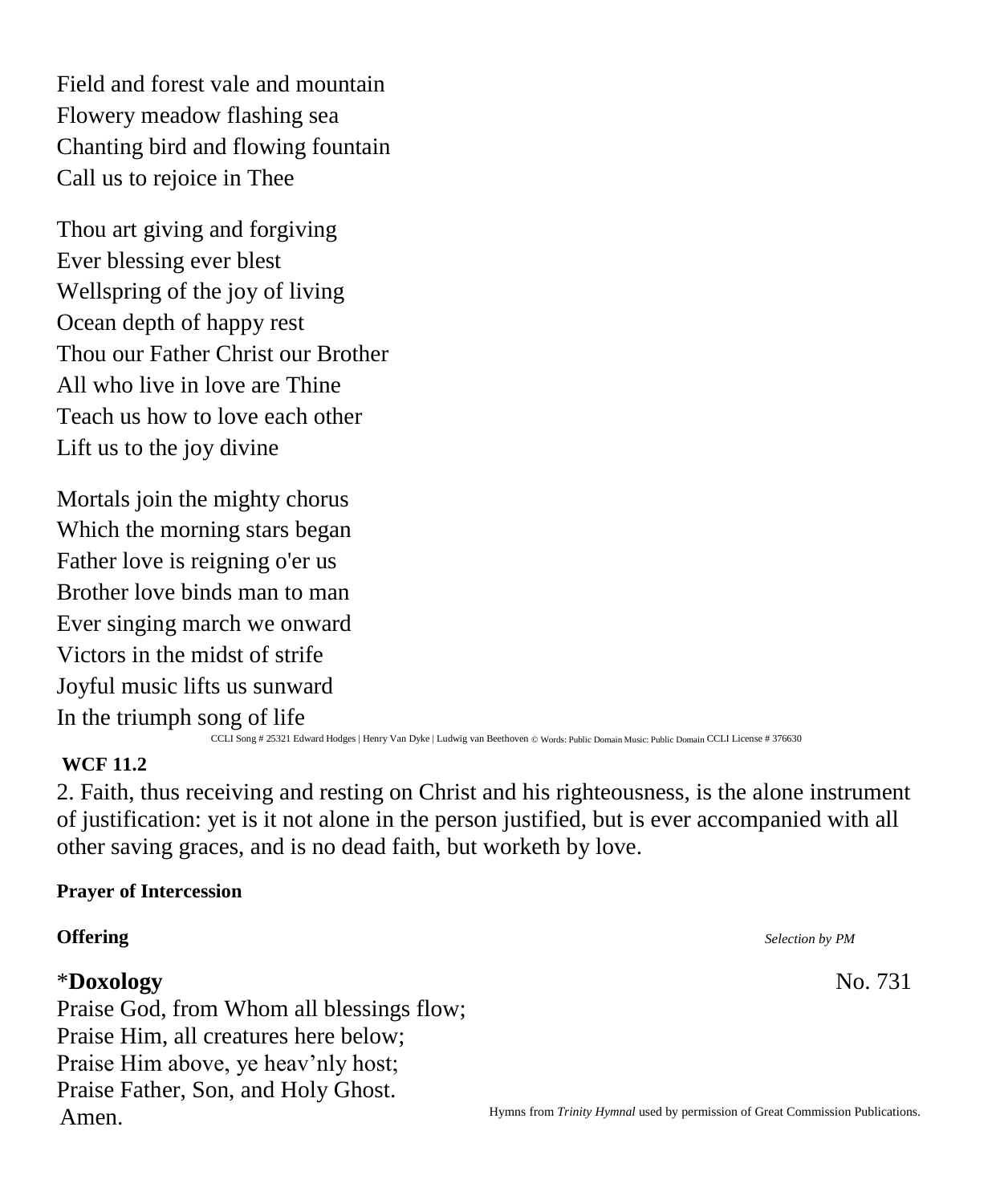Field and forest vale and mountain Flowery meadow flashing sea Chanting bird and flowing fountain Call us to rejoice in Thee

Thou art giving and forgiving Ever blessing ever blest Wellspring of the joy of living Ocean depth of happy rest Thou our Father Christ our Brother All who live in love are Thine Teach us how to love each other Lift us to the joy divine

Mortals join the mighty chorus Which the morning stars began Father love is reigning o'er us Brother love binds man to man Ever singing march we onward Victors in the midst of strife Joyful music lifts us sunward In the triumph song of life

CCLI Song # 25321 Edward Hodges | Henry Van Dyke | Ludwig van Beethoven © Words: Public Domain Music: Public Domain CCLI License # 376630

### **WCF 11.2**

2. Faith, thus receiving and resting on Christ and his righteousness, is the alone instrument of justification: yet is it not alone in the person justified, but is ever accompanied with all other saving graces, and is no dead faith, but worketh by love.

### **Prayer of Intercession**

### \***Doxology** No. 731

Praise God, from Whom all blessings flow; Praise Him, all creatures here below; Praise Him above, ye heav'nly host; Praise Father, Son, and Holy Ghost. Amen.

**Offering** *Selection by PM* 

Hymns from *Trinity Hymnal* used by permission of Great Commission Publications.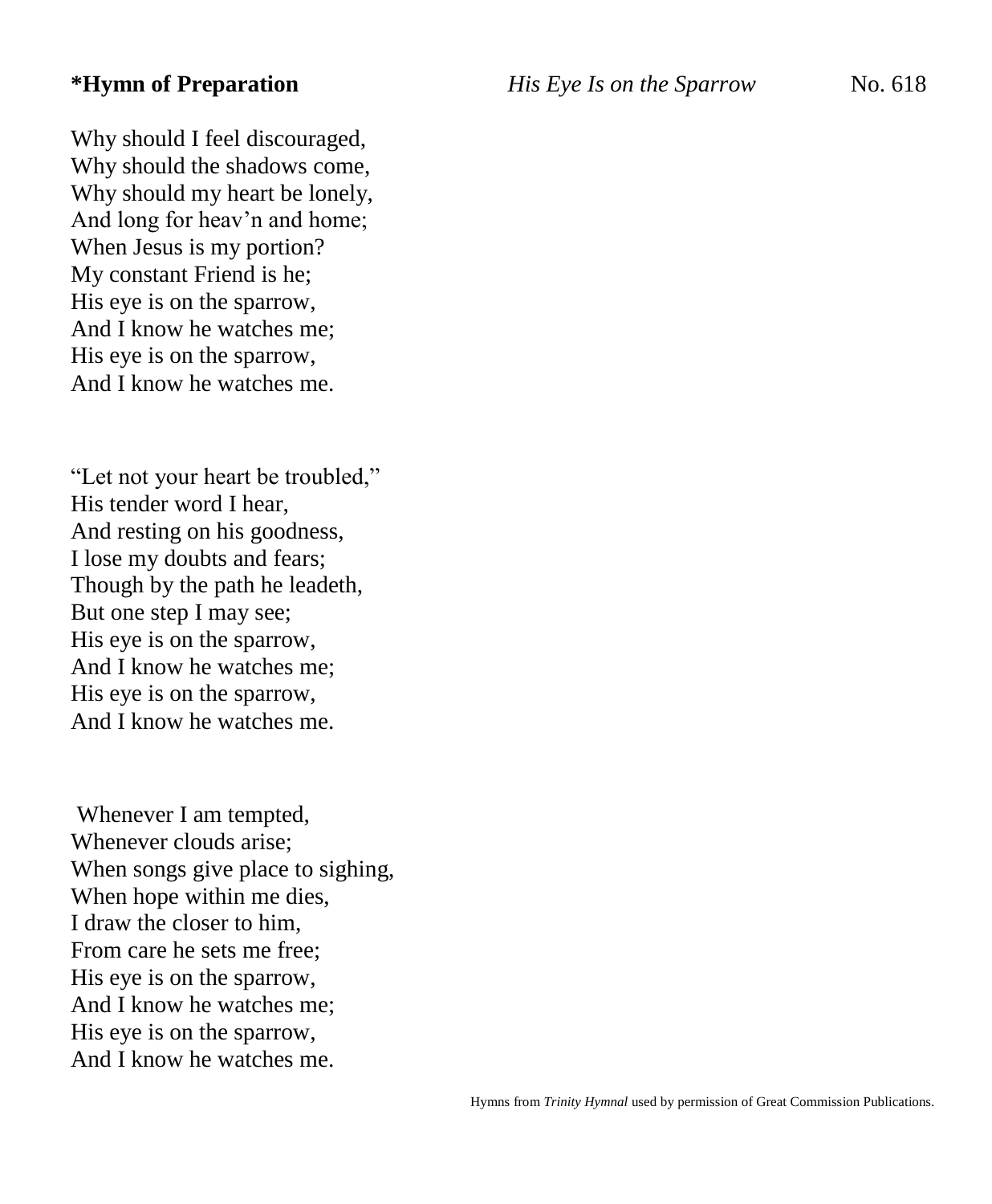Why should I feel discouraged, Why should the shadows come, Why should my heart be lonely, And long for heav'n and home; When Jesus is my portion? My constant Friend is he; His eye is on the sparrow, And I know he watches me; His eye is on the sparrow, And I know he watches me.

"Let not your heart be troubled," His tender word I hear, And resting on his goodness, I lose my doubts and fears; Though by the path he leadeth, But one step I may see; His eye is on the sparrow, And I know he watches me; His eye is on the sparrow, And I know he watches me.

Whenever I am tempted, Whenever clouds arise; When songs give place to sighing, When hope within me dies, I draw the closer to him, From care he sets me free; His eye is on the sparrow, And I know he watches me; His eye is on the sparrow, And I know he watches me.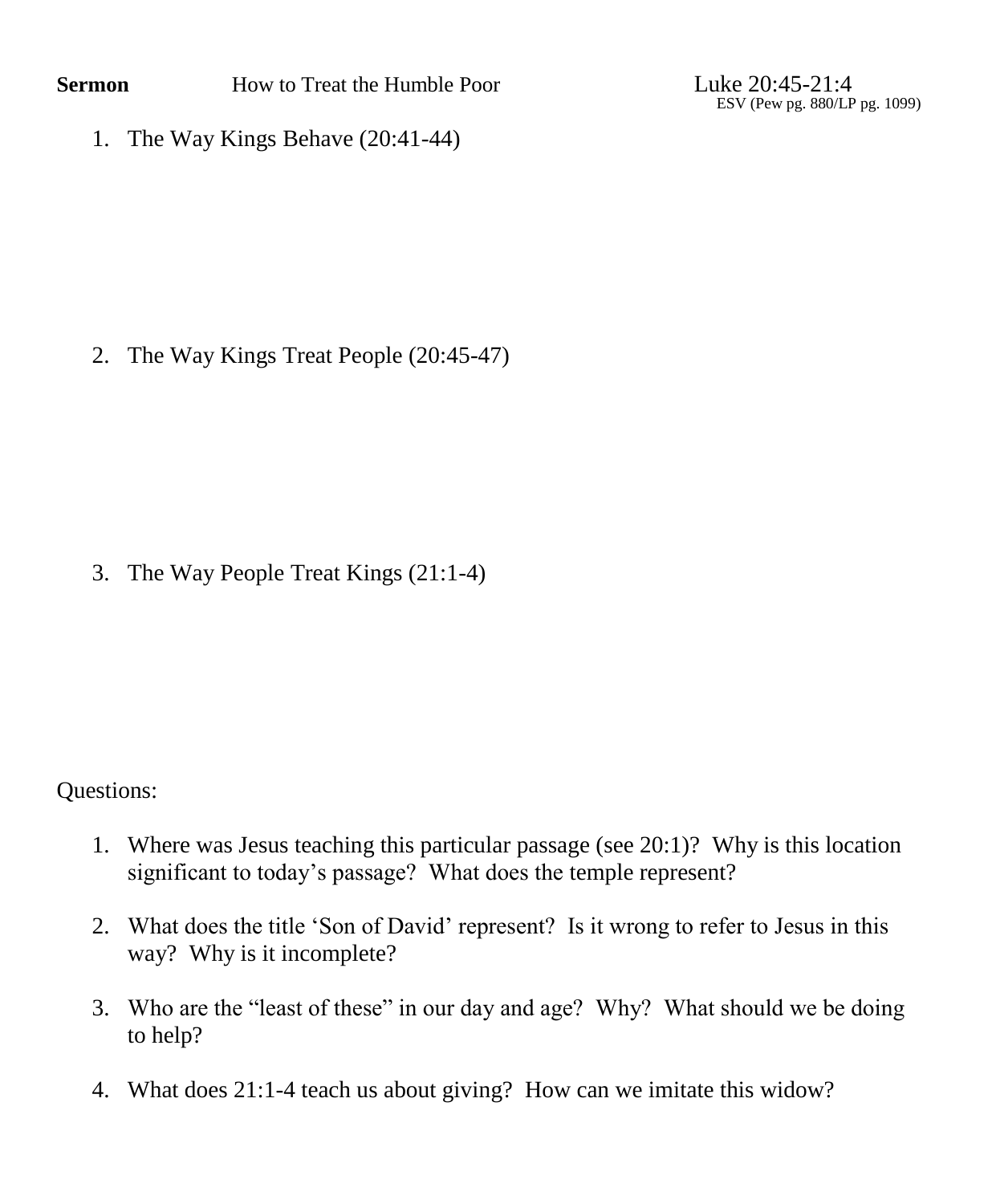**Sermon How to Treat the Humble Poor** Luke 20:45-21:4

ESV (Pew pg. 880/LP pg. 1099)

1. The Way Kings Behave (20:41-44)

2. The Way Kings Treat People (20:45-47)

3. The Way People Treat Kings (21:1-4)

Questions:

- 1. Where was Jesus teaching this particular passage (see 20:1)? Why is this location significant to today's passage? What does the temple represent?
- 2. What does the title 'Son of David' represent? Is it wrong to refer to Jesus in this way? Why is it incomplete?
- 3. Who are the "least of these" in our day and age? Why? What should we be doing to help?
- 4. What does 21:1-4 teach us about giving? How can we imitate this widow?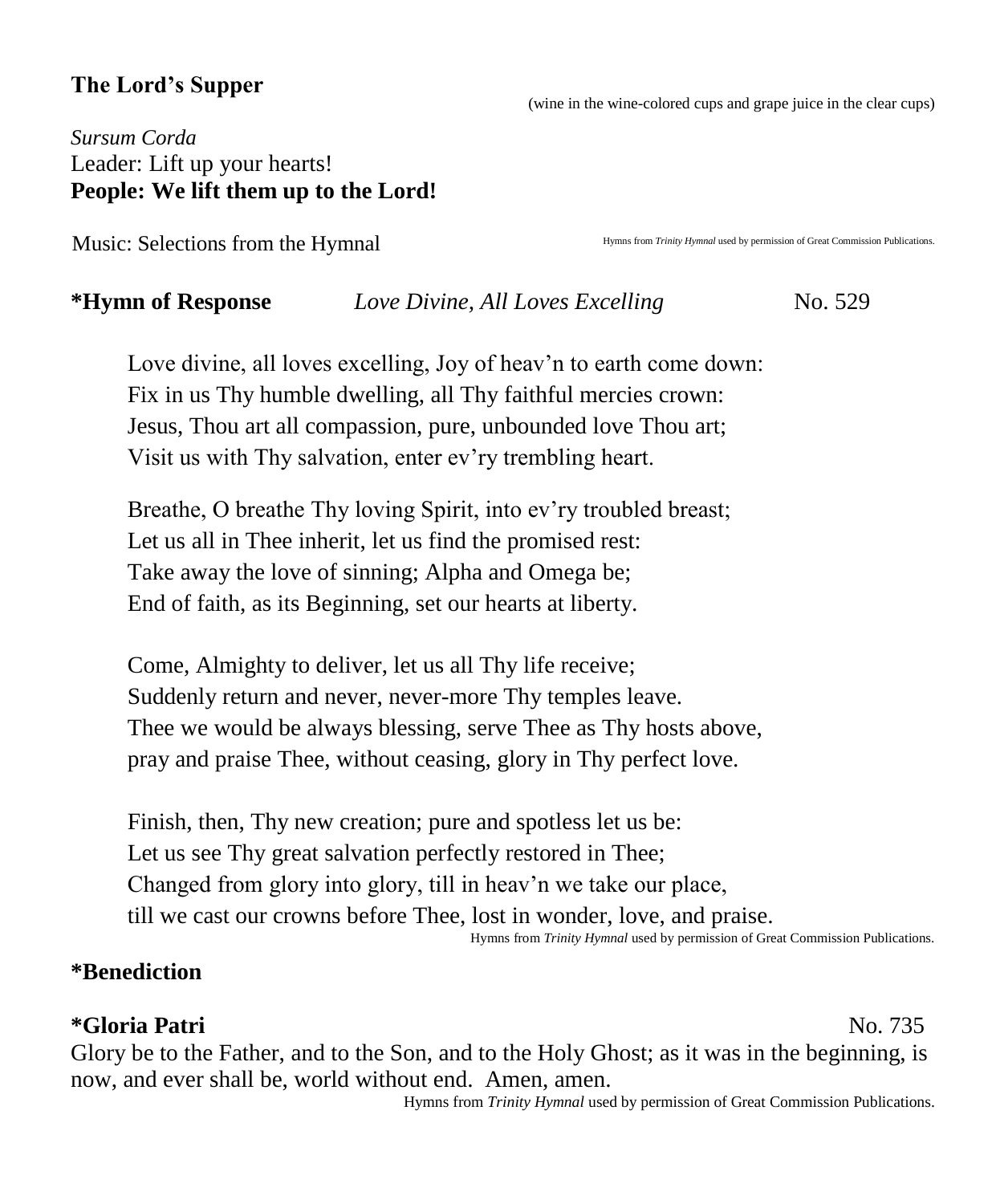# **The Lord's Supper**

(wine in the wine-colored cups and grape juice in the clear cups)

## *Sursum Corda* Leader: Lift up your hearts! **People: We lift them up to the Lord!**

Music: Selections from the Hymnal

Hymns from *Trinity Hymnal* used by permission of Great Commission Publications.

### **\*Hymn of Response** *Love Divine, All Loves Excelling*No. 529

Love divine, all loves excelling, Joy of heav'n to earth come down: Fix in us Thy humble dwelling, all Thy faithful mercies crown: Jesus, Thou art all compassion, pure, unbounded love Thou art; Visit us with Thy salvation, enter ev'ry trembling heart.

Breathe, O breathe Thy loving Spirit, into ev'ry troubled breast; Let us all in Thee inherit, let us find the promised rest: Take away the love of sinning; Alpha and Omega be; End of faith, as its Beginning, set our hearts at liberty.

Come, Almighty to deliver, let us all Thy life receive; Suddenly return and never, never-more Thy temples leave. Thee we would be always blessing, serve Thee as Thy hosts above, pray and praise Thee, without ceasing, glory in Thy perfect love.

Finish, then, Thy new creation; pure and spotless let us be: Let us see Thy great salvation perfectly restored in Thee; Changed from glory into glory, till in heav'n we take our place, till we cast our crowns before Thee, lost in wonder, love, and praise.

Hymns from *Trinity Hymnal* used by permission of Great Commission Publications.

### **\*Benediction**

### **\*Gloria Patri** No. 735

Glory be to the Father, and to the Son, and to the Holy Ghost; as it was in the beginning, is now, and ever shall be, world without end. Amen, amen.

Hymns from *Trinity Hymnal* used by permission of Great Commission Publications.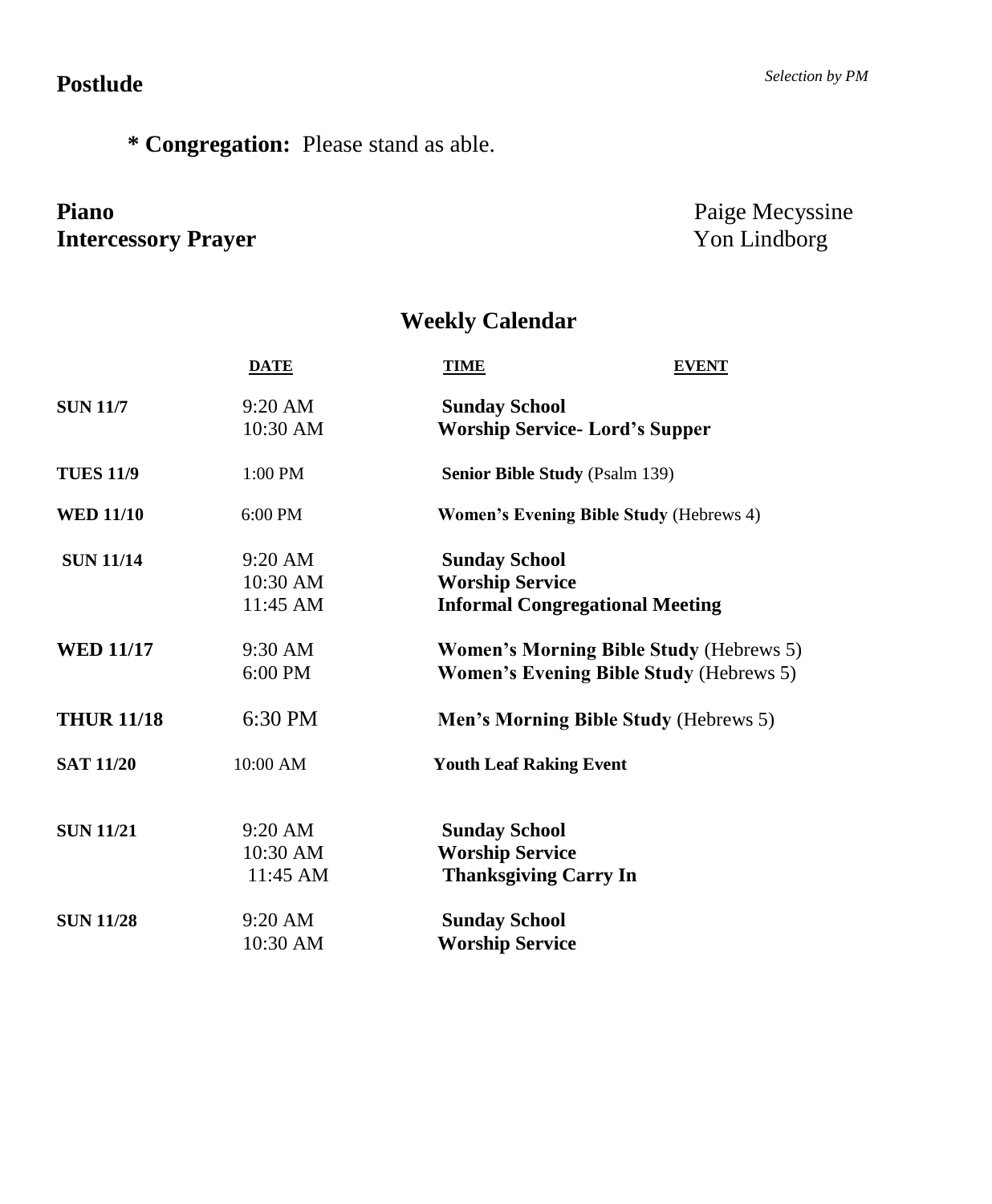**Piano** Paige Mecyssine<br> **Intercessory Prayer** Strategies Property Prayer<br>
Paige Mecyssine<br>
Paige Mecyssine<br>
Paige Mecyssine **Intercessory Prayer** 

# **Weekly Calendar**

|                   | <b>DATE</b>           | <b>TIME</b><br><b>EVENT</b>                                  |  |  |
|-------------------|-----------------------|--------------------------------------------------------------|--|--|
| <b>SUN 11/7</b>   | $9:20$ AM<br>10:30 AM | <b>Sunday School</b><br><b>Worship Service-Lord's Supper</b> |  |  |
| <b>TUES 11/9</b>  | $1:00$ PM             | <b>Senior Bible Study (Psalm 139)</b>                        |  |  |
| <b>WED 11/10</b>  | $6:00$ PM             | <b>Women's Evening Bible Study (Hebrews 4)</b>               |  |  |
| <b>SUN 11/14</b>  | $9:20$ AM             | <b>Sunday School</b>                                         |  |  |
|                   | 10:30 AM              | <b>Worship Service</b>                                       |  |  |
|                   | 11:45 AM              | <b>Informal Congregational Meeting</b>                       |  |  |
| <b>WED 11/17</b>  | $9:30$ AM             | Women's Morning Bible Study (Hebrews 5)                      |  |  |
|                   | $6:00 \text{ PM}$     | Women's Evening Bible Study (Hebrews 5)                      |  |  |
| <b>THUR 11/18</b> | 6:30 PM               | Men's Morning Bible Study (Hebrews 5)                        |  |  |
| <b>SAT 11/20</b>  | 10:00 AM              | <b>Youth Leaf Raking Event</b>                               |  |  |
| <b>SUN 11/21</b>  | $9:20$ AM             | <b>Sunday School</b>                                         |  |  |
|                   | 10:30 AM              | <b>Worship Service</b>                                       |  |  |
|                   | $11:45$ AM            | <b>Thanksgiving Carry In</b>                                 |  |  |
| <b>SUN 11/28</b>  | $9:20$ AM             | <b>Sunday School</b>                                         |  |  |
|                   | 10:30 AM              | <b>Worship Service</b>                                       |  |  |
|                   |                       |                                                              |  |  |